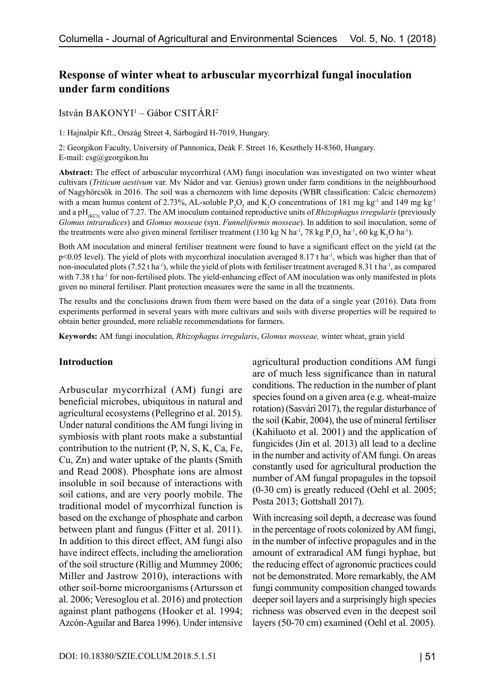# **Response of winter wheat to arbuscular mycorrhizal fungal inoculation under farm conditions**

István BAKONYI<sup>1</sup> – Gábor CSITÁRI<sup>2</sup>

1: Hajnalpír Kft., Ország Street 4, Sárbogárd H-7019, Hungary.

2: Georgikon Faculty, University of Pannonica, Deák F. Street 16, Keszthely H-8360, Hungary. E-mail: csg@georgikon.hu

**Abstract:** The effect of arbuscular mycorrhizal (AM) fungi inoculation was investigated on two winter wheat cultivars (*Triticum aestivum* var. Mv Nádor and var. Genius) grown under farm conditions in the neighbourhood of Nagyhörcsök in 2016. The soil was a chernozem with lime deposits (WBR classification: Calcic chernozem) with a mean humus content of 2.73%, AL-soluble  $P_2O_5$  and  $K_2O$  concentrations of 181 mg kg<sup>-1</sup> and 149 mg kg<sup>-1</sup> and a pH<sub>(KCl)</sub> value of 7.27. The AM inoculum contained reproductive units of *Rhizophagus irregularis* (previously *Glomus intraradices*) and *Glomus mosseae* (syn. *Funneliformis mosseae*). In addition to soil inoculation, some of the treatments were also given mineral fertiliser treatment (130 kg N ha<sup>-1</sup>, 78 kg P<sub>2</sub>O<sub>5</sub> ha<sup>-1</sup>, 60 kg K<sub>2</sub>O ha<sup>-1</sup>).

Both AM inoculation and mineral fertiliser treatment were found to have a significant effect on the yield (at the  $p$ <0.05 level). The yield of plots with mycorrhizal inoculation averaged 8.17 t ha<sup>-1</sup>, which was higher than that of non-inoculated plots  $(7.52 \text{ tha}^{-1})$ , while the yield of plots with fertiliser treatment averaged 8.31 t ha<sup>-1</sup>, as compared with 7.38 t ha<sup>-1</sup> for non-fertilised plots. The yield-enhancing effect of AM inoculation was only manifested in plots given no mineral fertiliser. Plant protection measures were the same in all the treatments.

The results and the conclusions drawn from them were based on the data of a single year (2016). Data from experiments performed in several years with more cultivars and soils with diverse properties will be required to obtain better grounded, more reliable recommendations for farmers.

**Keywords:** AM fungi inoculation, *Rhizophagus irregularis*, *Glomus mosseae,* winter wheat, grain yield

#### **Introduction**

Arbuscular mycorrhizal (AM) fungi are beneficial microbes, ubiquitous in natural and agricultural ecosystems (Pellegrino et al. 2015). Under natural conditions the AM fungi living in symbiosis with plant roots make a substantial contribution to the nutrient (P, N, S, K, Ca, Fe, Cu, Zn) and water uptake of the plants (Smith and Read 2008). Phosphate ions are almost insoluble in soil because of interactions with soil cations, and are very poorly mobile. The traditional model of mycorrhizal function is based on the exchange of phosphate and carbon between plant and fungus (Fitter et al. 2011). In addition to this direct effect, AM fungi also have indirect effects, including the amelioration of the soil structure (Rillig and Mummey 2006; Miller and Jastrow 2010), interactions with other soil-borne microorganisms (Artursson et al. 2006; Veresoglou et al. 2016) and protection against plant pathogens (Hooker et al. 1994; Azcón-Aguilar and Barea 1996). Under intensive agricultural production conditions AM fungi are of much less significance than in natural conditions. The reduction in the number of plant species found on a given area (e.g. wheat-maize rotation) (Sasvári 2017), the regular disturbance of the soil (Kabir, 2004), the use of mineral fertiliser (Kahiluoto et al. 2001) and the application of fungicides (Jin et al. 2013) all lead to a decline in the number and activity of AM fungi. On areas constantly used for agricultural production the number of AM fungal propagules in the topsoil (0-30 cm) is greatly reduced (Oehl et al. 2005; Posta 2013; Gottshall 2017).

With increasing soil depth, a decrease was found in the percentage of roots colonized by AM fungi, in the number of infective propagules and in the amount of extraradical AM fungi hyphae, but the reducing effect of agronomic practices could not be demonstrated. More remarkably, the AM fungi community composition changed towards deeper soil layers and a surprisingly high species richness was observed even in the deepest soil layers (50-70 cm) examined (Oehl et al. 2005).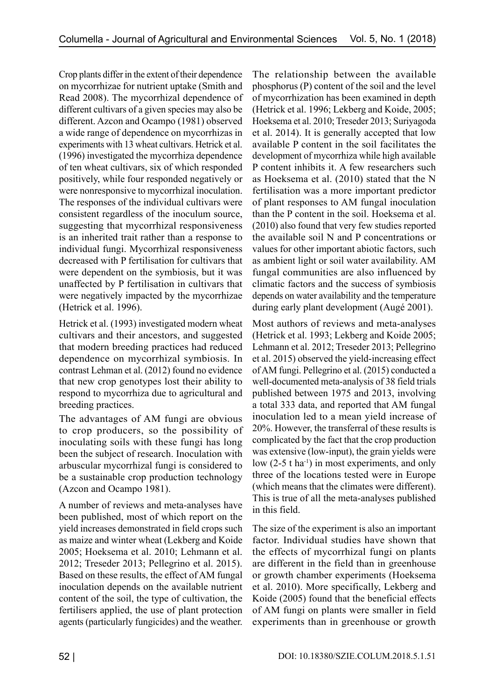Crop plants differ in the extent of their dependence on mycorrhizae for nutrient uptake (Smith and Read 2008). The mycorrhizal dependence of different cultivars of a given species may also be different. Azcon and Ocampo (1981) observed a wide range of dependence on mycorrhizas in experiments with 13 wheat cultivars. Hetrick et al. (1996) investigated the mycorrhiza dependence of ten wheat cultivars, six of which responded positively, while four responded negatively or were nonresponsive to mycorrhizal inoculation. The responses of the individual cultivars were consistent regardless of the inoculum source, suggesting that mycorrhizal responsiveness is an inherited trait rather than a response to individual fungi. Mycorrhizal responsiveness decreased with P fertilisation for cultivars that were dependent on the symbiosis, but it was unaffected by P fertilisation in cultivars that were negatively impacted by the mycorrhizae (Hetrick et al. 1996).

Hetrick et al. (1993) investigated modern wheat cultivars and their ancestors, and suggested that modern breeding practices had reduced dependence on mycorrhizal symbiosis. In contrast Lehman et al. (2012) found no evidence that new crop genotypes lost their ability to respond to mycorrhiza due to agricultural and breeding practices.

The advantages of AM fungi are obvious to crop producers, so the possibility of inoculating soils with these fungi has long been the subject of research. Inoculation with arbuscular mycorrhizal fungi is considered to be a sustainable crop production technology (Azcon and Ocampo 1981).

A number of reviews and meta-analyses have been published, most of which report on the yield increases demonstrated in field crops such as maize and winter wheat (Lekberg and Koide 2005; Hoeksema et al. 2010; Lehmann et al. 2012; Treseder 2013; Pellegrino et al. 2015). Based on these results, the effect of AM fungal inoculation depends on the available nutrient content of the soil, the type of cultivation, the fertilisers applied, the use of plant protection agents (particularly fungicides) and the weather.

The relationship between the available phosphorus (P) content of the soil and the level of mycorrhization has been examined in depth (Hetrick et al. 1996; Lekberg and Koide, 2005; Hoeksema et al. 2010; Treseder 2013; Suriyagoda et al. 2014). It is generally accepted that low available P content in the soil facilitates the development of mycorrhiza while high available P content inhibits it. A few researchers such as Hoeksema et al. (2010) stated that the N fertilisation was a more important predictor of plant responses to AM fungal inoculation than the P content in the soil. Hoeksema et al. (2010) also found that very few studies reported the available soil N and P concentrations or values for other important abiotic factors, such as ambient light or soil water availability. AM fungal communities are also influenced by climatic factors and the success of symbiosis depends on water availability and the temperature during early plant development (Augé 2001).

Most authors of reviews and meta-analyses (Hetrick et al. 1993; Lekberg and Koide 2005; Lehmann et al. 2012; Treseder 2013; Pellegrino et al. 2015) observed the yield-increasing effect of AM fungi. Pellegrino et al. (2015) conducted a well-documented meta-analysis of 38 field trials published between 1975 and 2013, involving a total 333 data, and reported that AM fungal inoculation led to a mean yield increase of 20%. However, the transferral of these results is complicated by the fact that the crop production was extensive (low-input), the grain yields were low  $(2-5$  t ha<sup>-1</sup>) in most experiments, and only three of the locations tested were in Europe (which means that the climates were different). This is true of all the meta-analyses published in this field.

The size of the experiment is also an important factor. Individual studies have shown that the effects of mycorrhizal fungi on plants are different in the field than in greenhouse or growth chamber experiments (Hoeksema et al. 2010). More specifically, Lekberg and Koide (2005) found that the beneficial effects of AM fungi on plants were smaller in field experiments than in greenhouse or growth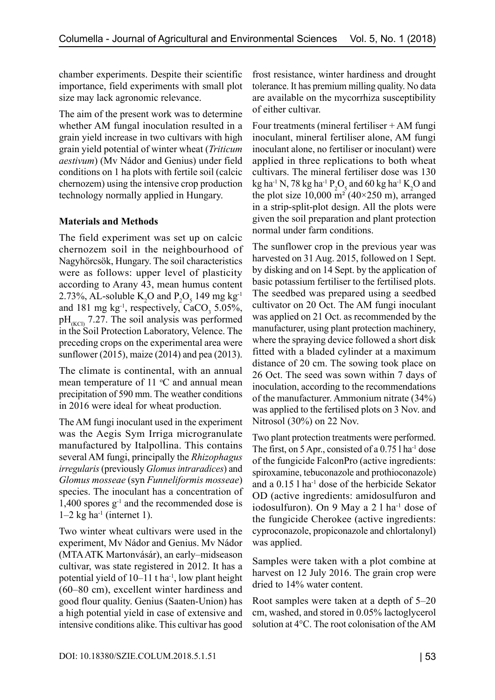chamber experiments. Despite their scientific importance, field experiments with small plot size may lack agronomic relevance.

The aim of the present work was to determine whether AM fungal inoculation resulted in a grain yield increase in two cultivars with high grain yield potential of winter wheat (*Triticum aestivum*) (Mv Nádor and Genius) under field conditions on 1 ha plots with fertile soil (calcic chernozem) using the intensive crop production technology normally applied in Hungary.

## **Materials and Methods**

The field experiment was set up on calcic chernozem soil in the neighbourhood of Nagyhörcsök, Hungary. The soil characteristics were as follows: upper level of plasticity according to Arany 43, mean humus content 2.73%, AL-soluble  $K_2O$  and  $P_2O_5$  149 mg kg<sup>-1</sup> and 181 mg  $kg^{-1}$ , respectively, CaCO<sub>3</sub> 5.05%,  $pH_{(KC)}$  7.27. The soil analysis was performed in the Soil Protection Laboratory, Velence. The preceding crops on the experimental area were sunflower (2015), maize (2014) and pea (2013).

The climate is continental, with an annual mean temperature of  $11 \text{ °C}$  and annual mean precipitation of 590 mm. The weather conditions in 2016 were ideal for wheat production.

The AM fungi inoculant used in the experiment was the Aegis Sym Irriga microgranulate manufactured by Italpollina. This contains several AM fungi, principally the *Rhizophagus irregularis* (previously *Glomus intraradices*) and *Glomus mosseae* (syn *Funneliformis mosseae*) species. The inoculant has a concentration of  $1,400$  spores  $g^{-1}$  and the recommended dose is  $1-2$  kg ha<sup>-1</sup> (internet 1).

Two winter wheat cultivars were used in the experiment, Mv Nádor and Genius. Mv Nádor (MTA ATK Martonvásár), an early–midseason cultivar, was state registered in 2012. It has a potential yield of  $10-11$  t ha<sup>-1</sup>, low plant height (60–80 cm), excellent winter hardiness and good flour quality. Genius (Saaten-Union) has a high potential yield in case of extensive and intensive conditions alike. This cultivar has good

frost resistance, winter hardiness and drought tolerance. It has premium milling quality. No data are available on the mycorrhiza susceptibility of either cultivar.

Four treatments (mineral fertiliser  $+ AM$  fungi inoculant, mineral fertiliser alone, AM fungi inoculant alone, no fertiliser or inoculant) were applied in three replications to both wheat cultivars. The mineral fertiliser dose was 130 kg ha<sup>-1</sup> N, 78 kg ha<sup>-1</sup>  $P_2O_5$  and 60 kg ha<sup>-1</sup> K<sub>2</sub>O and the plot size  $10,000$  m<sup>2</sup> (40×250 m), arranged in a strip-split-plot design. All the plots were given the soil preparation and plant protection normal under farm conditions.

The sunflower crop in the previous year was harvested on 31 Aug. 2015, followed on 1 Sept. by disking and on 14 Sept. by the application of basic potassium fertiliser to the fertilised plots. The seedbed was prepared using a seedbed cultivator on 20 Oct. The AM fungi inoculant was applied on 21 Oct. as recommended by the manufacturer, using plant protection machinery, where the spraying device followed a short disk fitted with a bladed cylinder at a maximum distance of 20 cm. The sowing took place on 26 Oct. The seed was sown within 7 days of inoculation, according to the recommendations of the manufacturer. Ammonium nitrate (34%) was applied to the fertilised plots on 3 Nov. and Nitrosol (30%) on 22 Nov.

Two plant protection treatments were performed. The first, on 5 Apr., consisted of a  $0.75$  l ha<sup>-1</sup> dose of the fungicide FalconPro (active ingredients: spiroxamine, tebuconazole and prothioconazole) and a 0.15 l ha-1 dose of the herbicide Sekator OD (active ingredients: amidosulfuron and iodosulfuron). On 9 May a 2 l ha<sup>-1</sup> dose of the fungicide Cherokee (active ingredients: cyproconazole, propiconazole and chlortalonyl) was applied.

Samples were taken with a plot combine at harvest on 12 July 2016. The grain crop were dried to 14% water content.

Root samples were taken at a depth of 5–20 cm, washed, and stored in 0.05% lactoglycerol solution at 4°C. The root colonisation of the AM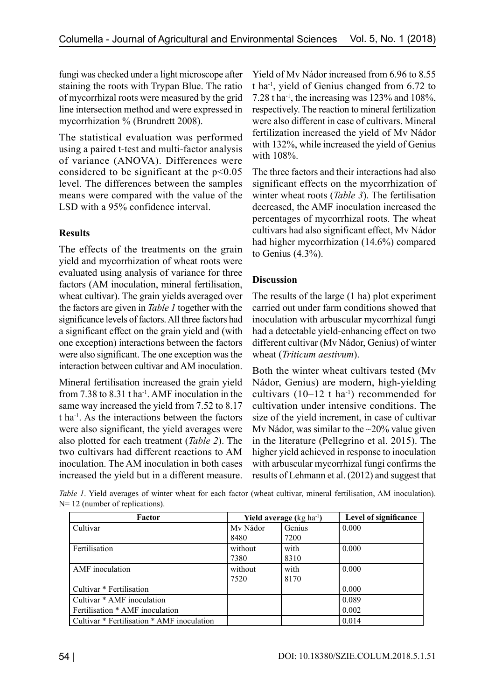fungi was checked under a light microscope after staining the roots with Trypan Blue. The ratio of mycorrhizal roots were measured by the grid line intersection method and were expressed in mycorrhization % (Brundrett 2008).

The statistical evaluation was performed using a paired t-test and multi-factor analysis of variance (ANOVA). Differences were considered to be significant at the  $p<0.05$ level. The differences between the samples means were compared with the value of the LSD with a 95% confidence interval.

## **Results**

The effects of the treatments on the grain yield and mycorrhization of wheat roots were evaluated using analysis of variance for three factors (AM inoculation, mineral fertilisation, wheat cultivar). The grain yields averaged over the factors are given in *Table 1* together with the significance levels of factors. All three factors had a significant effect on the grain yield and (with one exception) interactions between the factors were also significant. The one exception was the interaction between cultivar and AM inoculation.

Mineral fertilisation increased the grain yield from 7.38 to  $8.31$  t ha<sup>-1</sup>. AMF inoculation in the same way increased the yield from 7.52 to 8.17 t ha-1. As the interactions between the factors were also significant, the yield averages were also plotted for each treatment (*Table 2*). The two cultivars had different reactions to AM inoculation. The AM inoculation in both cases increased the yield but in a different measure. Yield of Mv Nádor increased from 6.96 to 8.55 t ha-1, yield of Genius changed from 6.72 to 7.28 t ha<sup>-1</sup>, the increasing was 123% and 108%, respectively. The reaction to mineral fertilization were also different in case of cultivars. Mineral fertilization increased the yield of Mv Nádor with 132%, while increased the yield of Genius with 108%.

The three factors and their interactions had also significant effects on the mycorrhization of winter wheat roots (*Table 3*). The fertilisation decreased, the AMF inoculation increased the percentages of mycorrhizal roots. The wheat cultivars had also significant effect, Mv Nádor had higher mycorrhization (14.6%) compared to Genius (4.3%).

# **Discussion**

The results of the large (1 ha) plot experiment carried out under farm conditions showed that inoculation with arbuscular mycorrhizal fungi had a detectable yield-enhancing effect on two different cultivar (Mv Nádor, Genius) of winter wheat (*Triticum aestivum*).

Both the winter wheat cultivars tested (Mv Nádor, Genius) are modern, high-yielding cultivars  $(10-12 \text{ t} \text{ ha}^{-1})$  recommended for cultivation under intensive conditions. The size of the yield increment, in case of cultivar My Nádor, was similar to the  $\sim$ 20% value given in the literature (Pellegrino et al. 2015). The higher yield achieved in response to inoculation with arbuscular mycorrhizal fungi confirms the results of Lehmann et al. (2012) and suggest that

*Table 1*. Yield averages of winter wheat for each factor (wheat cultivar, mineral fertilisation, AM inoculation). N= 12 (number of replications).

| Factor                                     | <b>Yield average</b> ( $kg \text{ ha}^{-1}$ ) |        | Level of significance |
|--------------------------------------------|-----------------------------------------------|--------|-----------------------|
| Cultivar                                   | Mv Nádor                                      | Genius | 0.000                 |
|                                            | 8480                                          | 7200   |                       |
| Fertilisation                              | without                                       | with   | 0.000                 |
|                                            | 7380                                          | 8310   |                       |
| AMF inoculation                            | without                                       | with   | 0.000                 |
|                                            | 7520                                          | 8170   |                       |
| Cultivar <sup>*</sup> Fertilisation        |                                               |        | 0.000                 |
| Cultivar * AMF inoculation                 |                                               |        | 0.089                 |
| Fertilisation * AMF inoculation            |                                               |        | 0.002                 |
| Cultivar * Fertilisation * AMF inoculation |                                               |        | 0.014                 |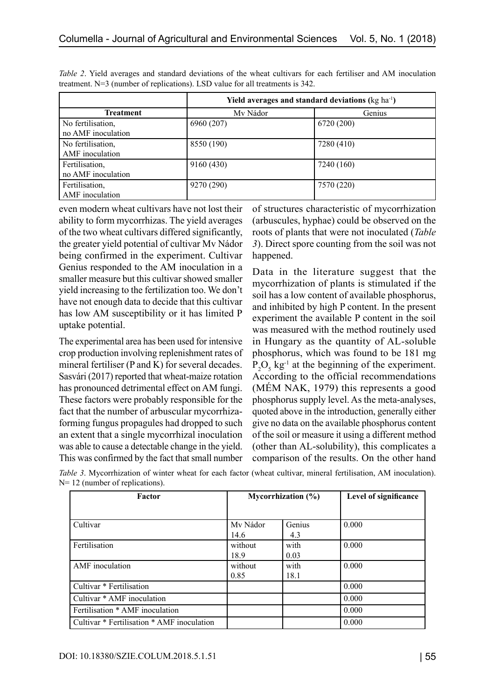|                    | Yield averages and standard deviations (kg ha <sup>-1</sup> ) |            |  |  |
|--------------------|---------------------------------------------------------------|------------|--|--|
| <b>Treatment</b>   | My Nádor                                                      | Genius     |  |  |
| No fertilisation,  | 6960 (207)                                                    | 6720 (200) |  |  |
| no AMF inoculation |                                                               |            |  |  |
| No fertilisation,  | 8550 (190)                                                    | 7280 (410) |  |  |
| AMF inoculation    |                                                               |            |  |  |
| Fertilisation,     | 9160 (430)                                                    | 7240 (160) |  |  |
| no AMF inoculation |                                                               |            |  |  |
| Fertilisation,     | 9270 (290)                                                    | 7570 (220) |  |  |
| AMF inoculation    |                                                               |            |  |  |

*Table 2*. Yield averages and standard deviations of the wheat cultivars for each fertiliser and AM inoculation treatment. N=3 (number of replications). LSD value for all treatments is 342.

even modern wheat cultivars have not lost their ability to form mycorrhizas. The yield averages of the two wheat cultivars differed significantly, the greater yield potential of cultivar Mv Nádor being confirmed in the experiment. Cultivar Genius responded to the AM inoculation in a smaller measure but this cultivar showed smaller yield increasing to the fertilization too. We don't have not enough data to decide that this cultivar has low AM susceptibility or it has limited P uptake potential.

The experimental area has been used for intensive crop production involving replenishment rates of mineral fertiliser (P and K) for several decades. Sasvári (2017) reported that wheat-maize rotation has pronounced detrimental effect on AM fungi. These factors were probably responsible for the fact that the number of arbuscular mycorrhizaforming fungus propagules had dropped to such an extent that a single mycorrhizal inoculation was able to cause a detectable change in the yield. This was confirmed by the fact that small number

of structures characteristic of mycorrhization (arbuscules, hyphae) could be observed on the roots of plants that were not inoculated (*Table 3*). Direct spore counting from the soil was not happened.

Data in the literature suggest that the mycorrhization of plants is stimulated if the soil has a low content of available phosphorus, and inhibited by high P content. In the present experiment the available P content in the soil was measured with the method routinely used in Hungary as the quantity of AL-soluble phosphorus, which was found to be 181 mg  $P_2O_5$  kg<sup>-1</sup> at the beginning of the experiment. According to the official recommendations (MÉM NAK, 1979) this represents a good phosphorus supply level. As the meta-analyses, quoted above in the introduction, generally either give no data on the available phosphorus content of the soil or measure it using a different method (other than AL-solubility), this complicates a comparison of the results. On the other hand

| Factor                                     | Mycorrhization $(\% )$ |        | Level of significance |
|--------------------------------------------|------------------------|--------|-----------------------|
|                                            |                        |        |                       |
| Cultivar                                   | My Nádor               | Genius | 0.000                 |
|                                            | 14.6                   | 4.3    |                       |
| Fertilisation                              | without                | with   | 0.000                 |
|                                            | 18.9                   | 0.03   |                       |
| AMF inoculation                            | without                | with   | 0.000                 |
|                                            | 0.85                   | 18.1   |                       |
| Cultivar * Fertilisation                   |                        |        | 0.000                 |
| Cultivar * AMF inoculation                 |                        |        | 0.000                 |
| Fertilisation * AMF inoculation            |                        |        | 0.000                 |
| Cultivar * Fertilisation * AMF inoculation |                        |        | 0.000                 |

*Table 3*. Mycorrhization of winter wheat for each factor (wheat cultivar, mineral fertilisation, AM inoculation). N= 12 (number of replications).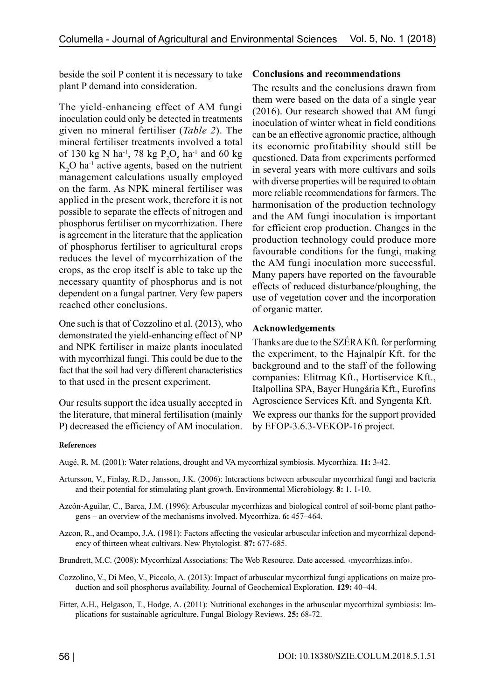beside the soil P content it is necessary to take plant P demand into consideration.

The yield-enhancing effect of AM fungi inoculation could only be detected in treatments given no mineral fertiliser (*Table 2*). The mineral fertiliser treatments involved a total of 130 kg N ha<sup>-1</sup>, 78 kg  $P_2O_5$  ha<sup>-1</sup> and 60 kg  $K_2O$  ha<sup>-1</sup> active agents, based on the nutrient management calculations usually employed on the farm. As NPK mineral fertiliser was applied in the present work, therefore it is not possible to separate the effects of nitrogen and phosphorus fertiliser on mycorrhization. There is agreement in the literature that the application of phosphorus fertiliser to agricultural crops reduces the level of mycorrhization of the crops, as the crop itself is able to take up the necessary quantity of phosphorus and is not dependent on a fungal partner. Very few papers reached other conclusions.

One such is that of Cozzolino et al. (2013), who demonstrated the yield-enhancing effect of NP and NPK fertiliser in maize plants inoculated with mycorrhizal fungi. This could be due to the fact that the soil had very different characteristics to that used in the present experiment.

Our results support the idea usually accepted in the literature, that mineral fertilisation (mainly P) decreased the efficiency of AM inoculation.

### **Conclusions and recommendations**

The results and the conclusions drawn from them were based on the data of a single year (2016). Our research showed that AM fungi inoculation of winter wheat in field conditions can be an effective agronomic practice, although its economic profitability should still be questioned. Data from experiments performed in several years with more cultivars and soils with diverse properties will be required to obtain more reliable recommendations for farmers. The harmonisation of the production technology and the AM fungi inoculation is important for efficient crop production. Changes in the production technology could produce more favourable conditions for the fungi, making the AM fungi inoculation more successful. Many papers have reported on the favourable effects of reduced disturbance/ploughing, the use of vegetation cover and the incorporation of organic matter.

### **Acknowledgements**

Thanks are due to the SZÉRA Kft. for performing the experiment, to the Hajnalpír Kft. for the background and to the staff of the following companies: Elitmag Kft., Hortiservice Kft., Italpollina SPA, Bayer Hungária Kft., Eurofins Agroscience Services Kft. and Syngenta Kft.

We express our thanks for the support provided by EFOP-3.6.3-VEKOP-16 project.

#### **References**

Augé, R. M. (2001): Water relations, drought and VA mycorrhizal symbiosis. Mycorrhiza. **11:** 3-42.

- Artursson, V., Finlay, R.D., Jansson, J.K. (2006): Interactions between arbuscular mycorrhizal fungi and bacteria and their potential for stimulating plant growth. Environmental Microbiology. **8:** 1. 1-10.
- Azcón-Aguilar, C., Barea, J.M. (1996): Arbuscular mycorrhizas and biological control of soil-borne plant pathogens – an overview of the mechanisms involved. Mycorrhiza. **6:** 457–464.
- Azcon, R., and Ocampo, J.A. (1981): Factors affecting the vesicular arbuscular infection and mycorrhizal dependency of thirteen wheat cultivars. New Phytologist. **87:** 677-685.
- Brundrett, M.C. (2008): Mycorrhizal Associations: The Web Resource. Date accessed. ‹mycorrhizas.info›.
- Cozzolino, V., Di Meo, V., Piccolo, A. (2013): Impact of arbuscular mycorrhizal fungi applications on maize production and soil phosphorus availability. Journal of Geochemical Exploration. **129:** 40–44.
- Fitter, A.H., Helgason, T., Hodge, A. (2011): Nutritional exchanges in the arbuscular mycorrhizal symbiosis: Implications for sustainable agriculture. Fungal Biology Reviews. **25:** 68-72.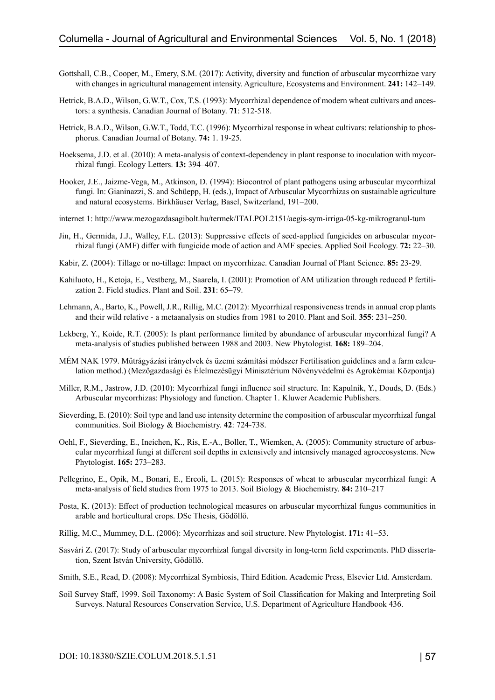- Gottshall, C.B., Cooper, M., Emery, S.M. (2017): Activity, diversity and function of arbuscular mycorrhizae vary with changes in agricultural management intensity. Agriculture, Ecosystems and Environment. **241:** 142–149.
- Hetrick, B.A.D., Wilson, G.W.T., Cox, T.S. (1993): Mycorrhizal dependence of modern wheat cultivars and ancestors: a synthesis. Canadian Journal of Botany. **71**: 512-518.
- Hetrick, B.A.D., Wilson, G.W.T., Todd, T.C. (1996): Mycorrhizal response in wheat cultivars: relationship to phosphorus. Canadian Journal of Botany. **74:** 1. 19-25.
- Hoeksema, J.D. et al. (2010): A meta-analysis of context-dependency in plant response to inoculation with mycorrhizal fungi. Ecology Letters. **13:** 394–407.
- Hooker, J.E., Jaizme-Vega, M., Atkinson, D. (1994): Biocontrol of plant pathogens using arbuscular mycorrhizal fungi. In: Gianinazzi, S. and Schüepp, H. (eds.), Impact of Arbuscular Mycorrhizas on sustainable agriculture and natural ecosystems. Birkhäuser Verlag, Basel, Switzerland, 191–200.
- internet 1:<http://www.mezogazdasagibolt.hu/termek/ITALPOL2151/aegis-sym-irriga-05-kg-mikrogranul-tum>
- Jin, H., Germida, J.J., Walley, F.L. (2013): Suppressive effects of seed-applied fungicides on arbuscular mycorrhizal fungi (AMF) differ with fungicide mode of action and AMF species. Applied Soil Ecology. **72:** 22–30.
- Kabir, Z. (2004): Tillage or no-tillage: Impact on mycorrhizae. Canadian Journal of Plant Science. **85:** 23-29.
- Kahiluoto, H., Ketoja, E., Vestberg, M., Saarela, I. (2001): Promotion of AM utilization through reduced P fertilization 2. Field studies. Plant and Soil. **231**: 65–79.
- Lehmann, A., Barto, K., Powell, J.R., Rillig, M.C. (2012): Mycorrhizal responsiveness trends in annual crop plants and their wild relative - a metaanalysis on studies from 1981 to 2010. Plant and Soil. **355**: 231–250.
- Lekberg, Y., Koide, R.T. (2005): Is plant performance limited by abundance of arbuscular mycorrhizal fungi? A meta-analysis of studies published between 1988 and 2003. New Phytologist. **168:** 189–204.
- MÉM NAK 1979. Műtrágyázási irányelvek és üzemi számítási módszer Fertilisation guidelines and a farm calculation method.) (Mezőgazdasági és Élelmezésügyi Minisztérium Növényvédelmi és Agrokémiai Központja)
- Miller, R.M., Jastrow, J.D. (2010): Mycorrhizal fungi influence soil structure. In: Kapulnik, Y., Douds, D. (Eds.) Arbuscular mycorrhizas: Physiology and function. Chapter 1. Kluwer Academic Publishers.
- Sieverding, E. (2010): Soil type and land use intensity determine the composition of arbuscular mycorrhizal fungal communities. Soil Biology & Biochemistry. **42**: 724-738.
- Oehl, F., Sieverding, E., Ineichen, K., Ris, E.-A., Boller, T., Wiemken, A. (2005): Community structure of arbuscular mycorrhizal fungi at different soil depths in extensively and intensively managed agroecosystems. New Phytologist. **165:** 273–283.
- Pellegrino, E., Opik, M., Bonari, E., Ercoli, L. (2015): Responses of wheat to arbuscular mycorrhizal fungi: A meta-analysis of field studies from 1975 to 2013. Soil Biology & Biochemistry. **84:** 210–217
- Posta, K. (2013): Effect of production technological measures on arbuscular mycorrhizal fungus communities in arable and horticultural crops. DSc Thesis, Gödöllő.
- Rillig, M.C., Mummey, D.L. (2006): Mycorrhizas and soil structure. New Phytologist. **171:** 41–53.
- Sasvári Z. (2017): Study of arbuscular mycorrhizal fungal diversity in long-term field experiments. PhD dissertation, Szent István University, Gödöllő.
- Smith, S.E., Read, D. (2008): Mycorrhizal Symbiosis, Third Edition. Academic Press, Elsevier Ltd. Amsterdam.
- Soil Survey Staff, 1999. Soil Taxonomy: A Basic System of Soil Classification for Making and Interpreting Soil Surveys. Natural Resources Conservation Service, U.S. Department of Agriculture Handbook 436.